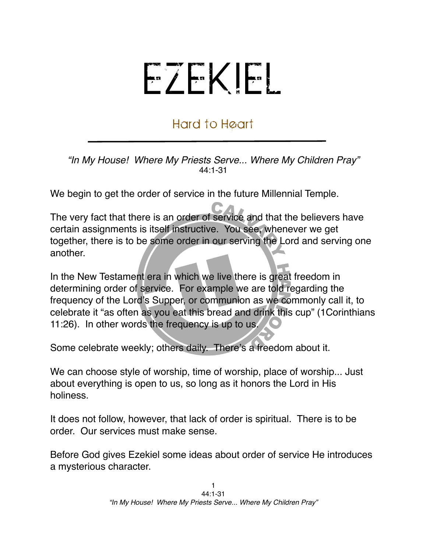## EZEKIEL

## Hard to Heart

*"In My House! Where My Priests Serve... Where My Children Pray"* 44:1-31

We begin to get the order of service in the future Millennial Temple.

The very fact that there is an order of service and that the believers have certain assignments is itself instructive. You see, whenever we get together, there is to be some order in our serving the Lord and serving one another.

In the New Testament era in which we live there is great freedom in determining order of service. For example we are told regarding the frequency of the Lord's Supper, or communion as we commonly call it, to celebrate it "as often as you eat this bread and drink this cup" (1Corinthians 11:26). In other words the frequency is up to us.

Some celebrate weekly; others daily. There's a freedom about it.

We can choose style of worship, time of worship, place of worship... Just about everything is open to us, so long as it honors the Lord in His holiness.

It does not follow, however, that lack of order is spiritual. There is to be order. Our services must make sense.

Before God gives Ezekiel some ideas about order of service He introduces a mysterious character.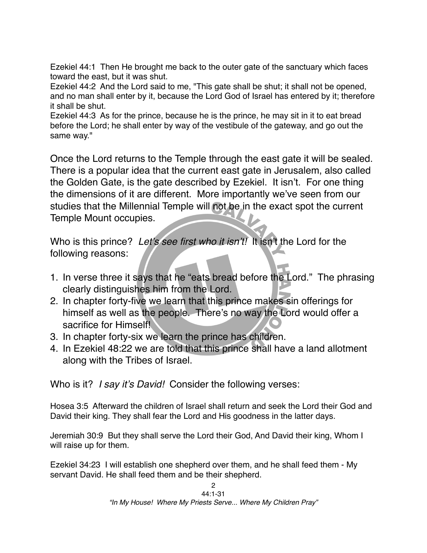Ezekiel 44:1 Then He brought me back to the outer gate of the sanctuary which faces toward the east, but it was shut.

Ezekiel 44:2 And the Lord said to me, "This gate shall be shut; it shall not be opened, and no man shall enter by it, because the Lord God of Israel has entered by it; therefore it shall be shut.

Ezekiel 44:3 As for the prince, because he is the prince, he may sit in it to eat bread before the Lord; he shall enter by way of the vestibule of the gateway, and go out the same way."

Once the Lord returns to the Temple through the east gate it will be sealed. There is a popular idea that the current east gate in Jerusalem, also called the Golden Gate, is the gate described by Ezekiel. It isn't. For one thing the dimensions of it are different. More importantly we've seen from our studies that the Millennial Temple will not be in the exact spot the current Temple Mount occupies.

Who is this prince? *Let*'*s see first who it isn*'*t!* It isn't the Lord for the following reasons:

- 1. In verse three it says that he "eats bread before the Lord." The phrasing clearly distinguishes him from the Lord.
- 2. In chapter forty-five we learn that this prince makes sin offerings for himself as well as the people. There's no way the Lord would offer a sacrifice for Himself!
- 3. In chapter forty-six we learn the prince has children.
- 4. In Ezekiel 48:22 we are told that this prince shall have a land allotment along with the Tribes of Israel.

Who is it? *I say it*'*s David!* Consider the following verses:

Hosea 3:5 Afterward the children of Israel shall return and seek the Lord their God and David their king. They shall fear the Lord and His goodness in the latter days.

Jeremiah 30:9 But they shall serve the Lord their God, And David their king, Whom I will raise up for them.

Ezekiel 34:23 I will establish one shepherd over them, and he shall feed them - My servant David. He shall feed them and be their shepherd.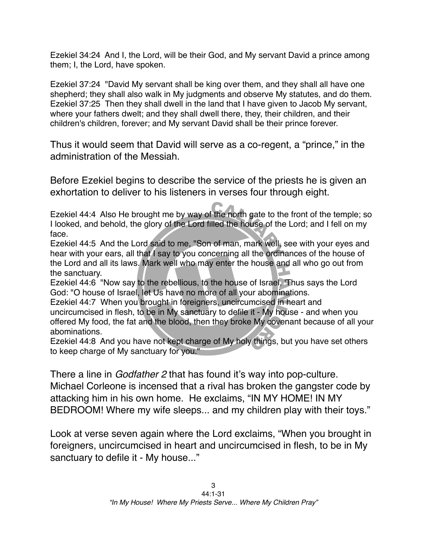Ezekiel 34:24 And I, the Lord, will be their God, and My servant David a prince among them; I, the Lord, have spoken.

Ezekiel 37:24 "David My servant shall be king over them, and they shall all have one shepherd; they shall also walk in My judgments and observe My statutes, and do them. Ezekiel 37:25 Then they shall dwell in the land that I have given to Jacob My servant, where your fathers dwelt; and they shall dwell there, they, their children, and their children's children, forever; and My servant David shall be their prince forever.

Thus it would seem that David will serve as a co-regent, a "prince," in the administration of the Messiah.

Before Ezekiel begins to describe the service of the priests he is given an exhortation to deliver to his listeners in verses four through eight.

Ezekiel 44:4 Also He brought me by way of the north gate to the front of the temple; so I looked, and behold, the glory of the Lord filled the house of the Lord; and I fell on my face.

Ezekiel 44:5 And the Lord said to me, "Son of man, mark well, see with your eyes and hear with your ears, all that I say to you concerning all the ordinances of the house of the Lord and all its laws. Mark well who may enter the house and all who go out from the sanctuary.

Ezekiel 44:6 "Now say to the rebellious, to the house of Israel, 'Thus says the Lord God: "O house of Israel, let Us have no more of all your abominations.

Ezekiel 44:7 When you brought in foreigners, uncircumcised in heart and uncircumcised in flesh, to be in My sanctuary to defile it - My house - and when you offered My food, the fat and the blood, then they broke My covenant because of all your abominations.

Ezekiel 44:8 And you have not kept charge of My holy things, but you have set others to keep charge of My sanctuary for you."

There a line in *Godfather 2* that has found it's way into pop-culture. Michael Corleone is incensed that a rival has broken the gangster code by attacking him in his own home. He exclaims, "IN MY HOME! IN MY BEDROOM! Where my wife sleeps... and my children play with their toys."

Look at verse seven again where the Lord exclaims, "When you brought in foreigners, uncircumcised in heart and uncircumcised in flesh, to be in My sanctuary to defile it - My house..."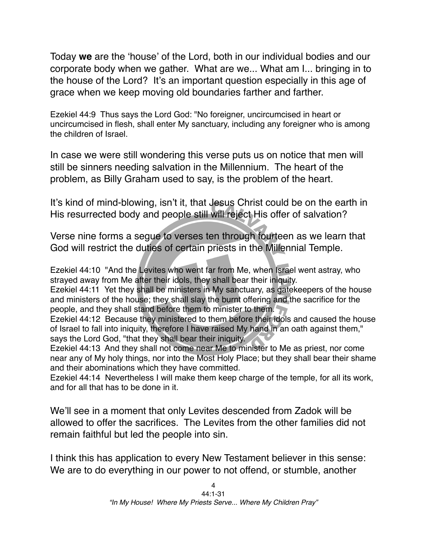Today **we** are the ʻhouse' of the Lord, both in our individual bodies and our corporate body when we gather. What are we... What am I... bringing in to the house of the Lord? It's an important question especially in this age of grace when we keep moving old boundaries farther and farther.

Ezekiel 44:9 Thus says the Lord God: "No foreigner, uncircumcised in heart or uncircumcised in flesh, shall enter My sanctuary, including any foreigner who is among the children of Israel.

In case we were still wondering this verse puts us on notice that men will still be sinners needing salvation in the Millennium. The heart of the problem, as Billy Graham used to say, is the problem of the heart.

It's kind of mind-blowing, isn't it, that Jesus Christ could be on the earth in His resurrected body and people still will reject His offer of salvation?

Verse nine forms a segue to verses ten through fourteen as we learn that God will restrict the duties of certain priests in the Millennial Temple.

Ezekiel 44:10 "And the Levites who went far from Me, when Israel went astray, who strayed away from Me after their idols, they shall bear their iniquity.

Ezekiel 44:11 Yet they shall be ministers in My sanctuary, as gatekeepers of the house and ministers of the house; they shall slay the burnt offering and the sacrifice for the people, and they shall stand before them to minister to them.

Ezekiel 44:12 Because they ministered to them before their idols and caused the house of Israel to fall into iniquity, therefore I have raised My hand in an oath against them," says the Lord God, "that they shall bear their iniquity.

Ezekiel 44:13 And they shall not come near Me to minister to Me as priest, nor come near any of My holy things, nor into the Most Holy Place; but they shall bear their shame and their abominations which they have committed.

Ezekiel 44:14 Nevertheless I will make them keep charge of the temple, for all its work, and for all that has to be done in it.

We'll see in a moment that only Levites descended from Zadok will be allowed to offer the sacrifices. The Levites from the other families did not remain faithful but led the people into sin.

I think this has application to every New Testament believer in this sense: We are to do everything in our power to not offend, or stumble, another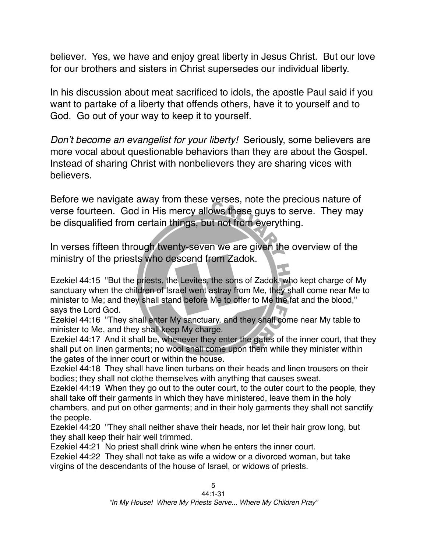believer. Yes, we have and enjoy great liberty in Jesus Christ. But our love for our brothers and sisters in Christ supersedes our individual liberty.

In his discussion about meat sacrificed to idols, the apostle Paul said if you want to partake of a liberty that offends others, have it to yourself and to God. Go out of your way to keep it to yourself.

*Don*'*t become an evangelist for your liberty!* Seriously, some believers are more vocal about questionable behaviors than they are about the Gospel. Instead of sharing Christ with nonbelievers they are sharing vices with believers.

Before we navigate away from these verses, note the precious nature of verse fourteen. God in His mercy allows these guys to serve. They may be disqualified from certain things, but not from everything.

In verses fifteen through twenty-seven we are given the overview of the ministry of the priests who descend from Zadok.

Ezekiel 44:15 "But the priests, the Levites, the sons of Zadok, who kept charge of My sanctuary when the children of Israel went astray from Me, they shall come near Me to minister to Me; and they shall stand before Me to offer to Me the fat and the blood," says the Lord God.

Ezekiel 44:16 "They shall enter My sanctuary, and they shall come near My table to minister to Me, and they shall keep My charge.

Ezekiel 44:17 And it shall be, whenever they enter the gates of the inner court, that they shall put on linen garments; no wool shall come upon them while they minister within the gates of the inner court or within the house.

Ezekiel 44:18 They shall have linen turbans on their heads and linen trousers on their bodies; they shall not clothe themselves with anything that causes sweat.

Ezekiel 44:19 When they go out to the outer court, to the outer court to the people, they shall take off their garments in which they have ministered, leave them in the holy chambers, and put on other garments; and in their holy garments they shall not sanctify the people.

Ezekiel 44:20 "They shall neither shave their heads, nor let their hair grow long, but they shall keep their hair well trimmed.

Ezekiel 44:21 No priest shall drink wine when he enters the inner court.

Ezekiel 44:22 They shall not take as wife a widow or a divorced woman, but take virgins of the descendants of the house of Israel, or widows of priests.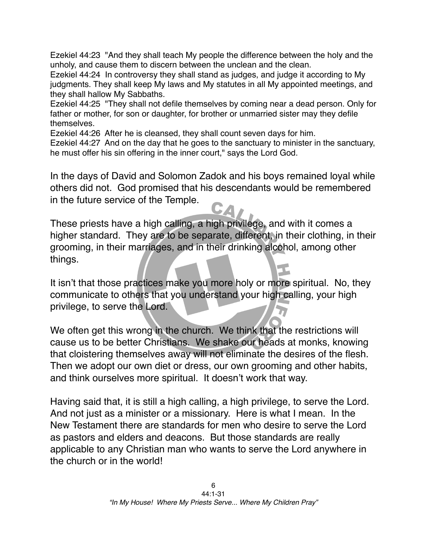Ezekiel 44:23 "And they shall teach My people the difference between the holy and the unholy, and cause them to discern between the unclean and the clean.

Ezekiel 44:24 In controversy they shall stand as judges, and judge it according to My judgments. They shall keep My laws and My statutes in all My appointed meetings, and they shall hallow My Sabbaths.

Ezekiel 44:25 "They shall not defile themselves by coming near a dead person. Only for father or mother, for son or daughter, for brother or unmarried sister may they defile themselves.

Ezekiel 44:26 After he is cleansed, they shall count seven days for him.

Ezekiel 44:27 And on the day that he goes to the sanctuary to minister in the sanctuary, he must offer his sin offering in the inner court," says the Lord God.

In the days of David and Solomon Zadok and his boys remained loyal while others did not. God promised that his descendants would be remembered in the future service of the Temple.

These priests have a high calling, a high privilege, and with it comes a higher standard. They are to be separate, different, in their clothing, in their grooming, in their marriages, and in their drinking alcohol, among other things.

It isn't that those practices make you more holy or more spiritual. No, they communicate to others that you understand your high calling, your high privilege, to serve the Lord.

We often get this wrong in the church. We think that the restrictions will cause us to be better Christians. We shake our heads at monks, knowing that cloistering themselves away will not eliminate the desires of the flesh. Then we adopt our own diet or dress, our own grooming and other habits, and think ourselves more spiritual. It doesn't work that way.

Having said that, it is still a high calling, a high privilege, to serve the Lord. And not just as a minister or a missionary. Here is what I mean. In the New Testament there are standards for men who desire to serve the Lord as pastors and elders and deacons. But those standards are really applicable to any Christian man who wants to serve the Lord anywhere in the church or in the world!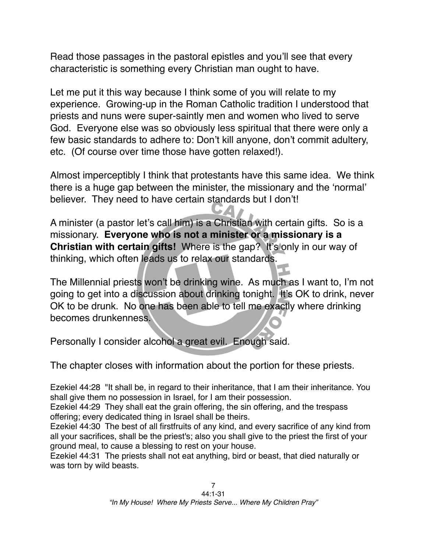Read those passages in the pastoral epistles and you'll see that every characteristic is something every Christian man ought to have.

Let me put it this way because I think some of you will relate to my experience. Growing-up in the Roman Catholic tradition I understood that priests and nuns were super-saintly men and women who lived to serve God. Everyone else was so obviously less spiritual that there were only a few basic standards to adhere to: Don't kill anyone, don't commit adultery, etc. (Of course over time those have gotten relaxed!).

Almost imperceptibly I think that protestants have this same idea. We think there is a huge gap between the minister, the missionary and the ʻnormal' believer. They need to have certain standards but I don't!

A minister (a pastor let's call him) is a Christian with certain gifts. So is a missionary. **Everyone who is not a minister or a missionary is a Christian with certain gifts!** Where is the gap? It's only in our way of thinking, which often leads us to relax our standards.

The Millennial priests won't be drinking wine. As much as I want to, I'm not going to get into a discussion about drinking tonight. It's OK to drink, never OK to be drunk. No one has been able to tell me exactly where drinking becomes drunkenness.

Personally I consider alcohol a great evil. Enough said.

The chapter closes with information about the portion for these priests.

Ezekiel 44:28 "It shall be, in regard to their inheritance, that I am their inheritance. You shall give them no possession in Israel, for I am their possession.

Ezekiel 44:29 They shall eat the grain offering, the sin offering, and the trespass offering; every dedicated thing in Israel shall be theirs.

Ezekiel 44:30 The best of all firstfruits of any kind, and every sacrifice of any kind from all your sacrifices, shall be the priest's; also you shall give to the priest the first of your ground meal, to cause a blessing to rest on your house.

Ezekiel 44:31 The priests shall not eat anything, bird or beast, that died naturally or was torn by wild beasts.